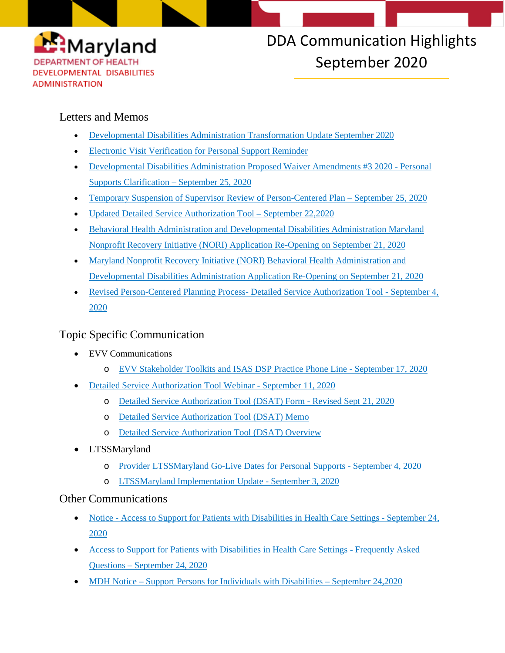

# DDA Communication Highlights September 2020

### Letters and Memos

- [Developmental Disabilities Administration Transformation Update September 2020](https://myemail.constantcontact.com/Electronic-Visit-Verification-Newsletter.html?soid=1117796634703&aid=0FMuZSTWRiw)
- [Electronic Visit Verification for Personal Support Reminder](https://myemail.constantcontact.com/Electronic-Visit-Verification-for-Personal-Support-Reminder.html?soid=1117796634703&aid=nzeurLDr5gc)
- [Developmental Disabilities Administration Proposed Waiver Amendments #3 2020 -](https://conta.cc/3ilNqHF) Personal [Supports Clarification –](https://conta.cc/3ilNqHF) September 25, 2020
- [Temporary Suspension of Supervisor Review of Person-Centered Plan –](https://files.constantcontact.com/f401fd14401/6f1fd215-000a-4db1-86b2-3ed099458b92.pdf) September 25, 2020
- [Updated Detailed Service Authorization Tool –](https://conta.cc/33iIoqR) September 22,2020
- [Behavioral Health Administration and Developmental Disabilities Administration Maryland](https://conta.cc/3mI08DZ)  [Nonprofit Recovery Initiative \(NORI\) Application Re-Opening on September 21, 2020](https://conta.cc/3mI08DZ)
- [Maryland Nonprofit Recovery Initiative \(NORI\) Behavioral Health Administration and](https://myemail.constantcontact.com/Behavioral-Health-Administration-and-Developmental-Disabilities-Administration-Maryland-Nonprofit-Recovery-Initiative--NORI--App.html?soid=1117796634703&aid=A1IzMscSNsU)  [Developmental Disabilities Administration Application Re-Opening on September 21, 2020](https://myemail.constantcontact.com/Behavioral-Health-Administration-and-Developmental-Disabilities-Administration-Maryland-Nonprofit-Recovery-Initiative--NORI--App.html?soid=1117796634703&aid=A1IzMscSNsU)
- [Revised Person-Centered Planning Process-](https://dda.health.maryland.gov/Documents/EVV/9.17.20/2020092020_EVV%20Stakeholder%20Toolkits%20and%20ISAS%20DSP%20-%20CC.pdf) Detailed Service Authorization Tool September 4, [2020](https://dda.health.maryland.gov/Documents/EVV/9.17.20/2020092020_EVV%20Stakeholder%20Toolkits%20and%20ISAS%20DSP%20-%20CC.pdf)

## Topic Specific Communication

- EVV Communications
	- o [EVV Stakeholder Toolkits and ISAS DSP Practice Phone Line -](https://dda.health.maryland.gov/Documents/EVV/9.17.20/2020092020_EVV%20Stakeholder%20Toolkits%20and%20ISAS%20DSP%20-%20CC.pdf) September 17, 2020
- [Detailed Service Authorization Tool Webinar -](http://r20.rs6.net/tn.jsp?f=001FfLFXmLhqCBNoopuJwDyqU4qa0W12FcyR_xBZnJDhq4A3aOI6M5DGMi34dqeeYk4FnLuiZisJM3weJeSpfd9bem1ghocKXmj9xWIJCWAeGLjp_RbQXpykrdrscsp7ncURF4707uH6lpchlrFNFGS-5fLtVQpvQww53U5NvPEOoK2Yw2Za_F12z_FNUsWf5MOrB8wSxEoeTs=&c=qLuuBVcqoQ3GF5-ghIEQEystuXtOt-Lb9dfbQwqFeO0PNIvsbnINnw==&ch=HGw7JDT3xifbqbgrx5vRpLHK0ml9ShO_YybsrfAWS5LO_obnFzSrWA==) September 11, 2020
	- o [Detailed Service Authorization Tool \(DSAT\) Form](http://r20.rs6.net/tn.jsp?f=001FfLFXmLhqCBNoopuJwDyqU4qa0W12FcyR_xBZnJDhq4A3aOI6M5DGMi34dqeeYk4lg1t9vOlK3JPHHp2upfQbN680UvDfMJWS_4tunLgLHH1ElhrPkS2LCUjh3GQxTGkyhWMHbYwc1UI3sHJ4lCDxv6c1fmpOOSsjKn1vQ5QTP0n1HfRVeQNn_4Hw5NV5dZGKfrnMfveFrajvDtP3FZIbOe7Z_dbmyDVbmtTPHdS6V-NtcpXfWwlTSqcXHmGJ6Xwn69qQxpmaLzbW9iSa8JUloP71nXwgoGG&c=qLuuBVcqoQ3GF5-ghIEQEystuXtOt-Lb9dfbQwqFeO0PNIvsbnINnw==&ch=HGw7JDT3xifbqbgrx5vRpLHK0ml9ShO_YybsrfAWS5LO_obnFzSrWA==) Revised Sept 21, 2020
	- o [Detailed Service Authorization Tool \(DSAT\) Memo](http://r20.rs6.net/tn.jsp?f=001FfLFXmLhqCBNoopuJwDyqU4qa0W12FcyR_xBZnJDhq4A3aOI6M5DGMi34dqeeYk4hPDFC5lTf6IQ_jwRSo57o1Z7xtAkei-TQHHg7yQhjI9k17-TQ9uVyyAGGedLzr_BHGjwZgU-62Gkzl0Qoiuo7OAQpvWZ3uafJ-tcvQHCRMVjCgyngQtpT6ZoEFn3nRK50zSjl2Tc7BOXf2w5S_X3QSFPuqUcTpWd5YTj0UNoOpK_B7wgm427_kUyC4LfJZhY&c=qLuuBVcqoQ3GF5-ghIEQEystuXtOt-Lb9dfbQwqFeO0PNIvsbnINnw==&ch=HGw7JDT3xifbqbgrx5vRpLHK0ml9ShO_YybsrfAWS5LO_obnFzSrWA==)
	- o [Detailed Service Authorization Tool \(DSAT\) Overview](http://r20.rs6.net/tn.jsp?f=001FfLFXmLhqCBNoopuJwDyqU4qa0W12FcyR_xBZnJDhq4A3aOI6M5DGMi34dqeeYk4jlmFHQKF-FSTbXASx_2AmuXg0E2g7K27vvaBE8Oj0Y_AD4pLoqZWVa7GOMM9Ic6YL-v6G2xQ34RHG91CeU69TJO0XOxAbENUgFl0d4eeiUSmNwocfDev-dWnQBGOQWEnERsAoODWl-a_9UBCD8S4WrU_9ihsWJVR28fVYsF-ccVUDF9BynlX4LWJPF7aG5GQHut7l0lRDdp_9FmjHSKjPA==&c=qLuuBVcqoQ3GF5-ghIEQEystuXtOt-Lb9dfbQwqFeO0PNIvsbnINnw==&ch=HGw7JDT3xifbqbgrx5vRpLHK0ml9ShO_YybsrfAWS5LO_obnFzSrWA==)
- LTSSMaryland
	- o [Provider LTSSMaryland Go-Live Dates for Personal Supports -](https://files.constantcontact.com/f401fd14401/bb629c74-bb70-4a4d-b6d7-2dc5440a0bcd.pdf) September 4, 2020
	- o [LTSSMaryland Implementation Update -](https://files.constantcontact.com/f401fd14401/449eb27f-58d5-4f12-95c1-3751e6cf36e6.pdf) September 3, 2020

#### Other Communications

- Notice [Access to Support for Patients with Disabilities in Health Care Settings -](https://dda.health.maryland.gov/Documents/COVID%2019%20Documents/Memos%20Guidance/9.28.20/2020.09.24.01%20-%20MDOD%20MDH%20Notice%20-%20Access%20to%20Healthcare%20Facilities%20(1).pdf) September 24, [2020](https://dda.health.maryland.gov/Documents/COVID%2019%20Documents/Memos%20Guidance/9.28.20/2020.09.24.01%20-%20MDOD%20MDH%20Notice%20-%20Access%20to%20Healthcare%20Facilities%20(1).pdf)
- [Access to Support for Patients with Disabilities in Health Care Settings -](https://dda.health.maryland.gov/Documents/COVID%2019%20Documents/Memos%20Guidance/9.28.20/2020.09.24.03%20-%20MDOD%20MDH%20Notice%20-%20Access%20to%20Support%20for%20Patients%20with%20Disabilities%20in%20Health%20Care%20Settings%20FAQs%20(1).pdf) Frequently Asked Questions – [September 24, 2020](https://dda.health.maryland.gov/Documents/COVID%2019%20Documents/Memos%20Guidance/9.28.20/2020.09.24.03%20-%20MDOD%20MDH%20Notice%20-%20Access%20to%20Support%20for%20Patients%20with%20Disabilities%20in%20Health%20Care%20Settings%20FAQs%20(1).pdf)
- MDH Notice [Support Persons for Individuals with Disabilities –](https://dda.health.maryland.gov/Documents/COVID%2019%20Documents/Information%20for%20People%20and%20Families/9.28.20/2020.09.24.02%20-%20MDOD%20MDH%20Notice%20-%20Support%20Persons%20for%20Individuals%20with%20Disabilities%20(1).pdf) September 24,2020